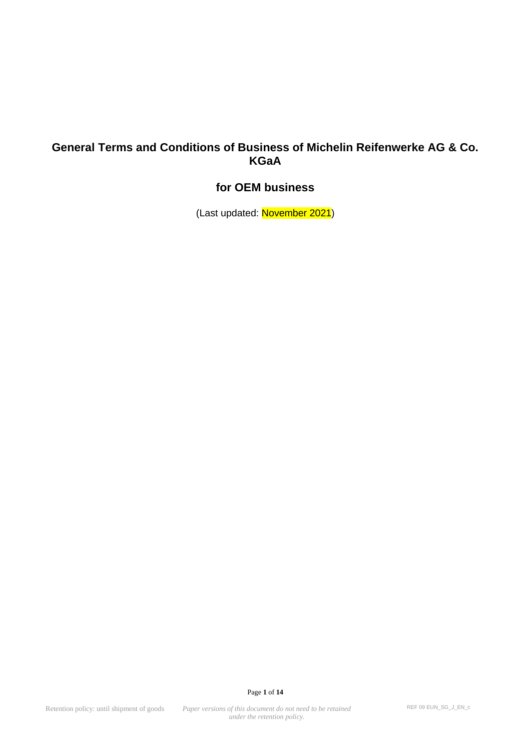## **General Terms and Conditions of Business of Michelin Reifenwerke AG & Co. KGaA**

# **for OEM business**

(Last updated: November 2021)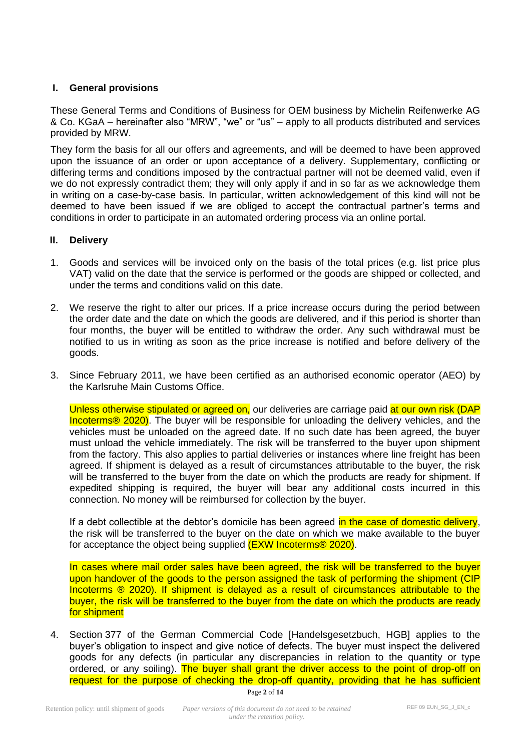## **I. General provisions**

These General Terms and Conditions of Business for OEM business by Michelin Reifenwerke AG & Co. KGaA – hereinafter also "MRW", "we" or "us" – apply to all products distributed and services provided by MRW.

They form the basis for all our offers and agreements, and will be deemed to have been approved upon the issuance of an order or upon acceptance of a delivery. Supplementary, conflicting or differing terms and conditions imposed by the contractual partner will not be deemed valid, even if we do not expressly contradict them; they will only apply if and in so far as we acknowledge them in writing on a case-by-case basis. In particular, written acknowledgement of this kind will not be deemed to have been issued if we are obliged to accept the contractual partner's terms and conditions in order to participate in an automated ordering process via an online portal.

## **II. Delivery**

- 1. Goods and services will be invoiced only on the basis of the total prices (e.g. list price plus VAT) valid on the date that the service is performed or the goods are shipped or collected, and under the terms and conditions valid on this date.
- 2. We reserve the right to alter our prices. If a price increase occurs during the period between the order date and the date on which the goods are delivered, and if this period is shorter than four months, the buyer will be entitled to withdraw the order. Any such withdrawal must be notified to us in writing as soon as the price increase is notified and before delivery of the goods.
- 3. Since February 2011, we have been certified as an authorised economic operator (AEO) by the Karlsruhe Main Customs Office.

Unless otherwise stipulated or agreed on, our deliveries are carriage paid at our own risk (DAP Incoterms® 2020). The buyer will be responsible for unloading the delivery vehicles, and the vehicles must be unloaded on the agreed date. If no such date has been agreed, the buyer must unload the vehicle immediately. The risk will be transferred to the buyer upon shipment from the factory. This also applies to partial deliveries or instances where line freight has been agreed. If shipment is delayed as a result of circumstances attributable to the buyer, the risk will be transferred to the buyer from the date on which the products are ready for shipment. If expedited shipping is required, the buyer will bear any additional costs incurred in this connection. No money will be reimbursed for collection by the buyer.

If a debt collectible at the debtor's domicile has been agreed in the case of domestic delivery, the risk will be transferred to the buyer on the date on which we make available to the buyer for acceptance the object being supplied (EXW Incoterms<sup>®</sup> 2020).

In cases where mail order sales have been agreed, the risk will be transferred to the buyer upon handover of the goods to the person assigned the task of performing the shipment (CIP Incoterms ® 2020). If shipment is delayed as a result of circumstances attributable to the buyer, the risk will be transferred to the buyer from the date on which the products are ready for shipment

4. Section 377 of the German Commercial Code [Handelsgesetzbuch, HGB] applies to the buyer's obligation to inspect and give notice of defects. The buyer must inspect the delivered goods for any defects (in particular any discrepancies in relation to the quantity or type ordered, or any soiling). The buyer shall grant the driver access to the point of drop-off on request for the purpose of checking the drop-off quantity, providing that he has sufficient

Page **2** of **14**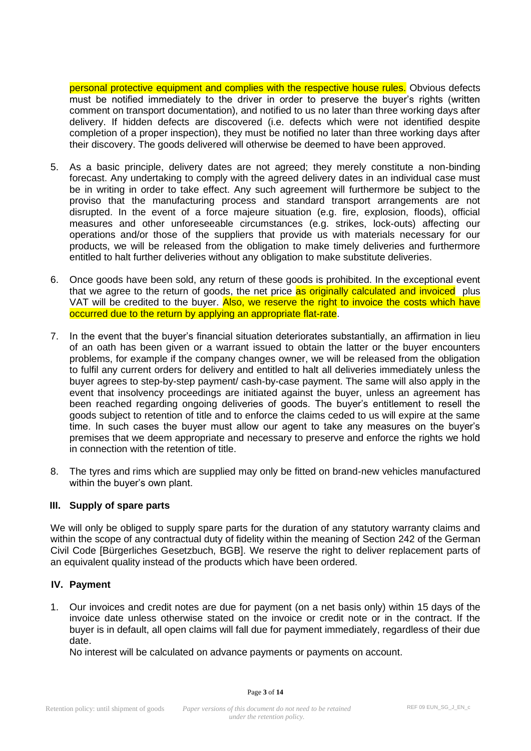personal protective equipment and complies with the respective house rules. Obvious defects must be notified immediately to the driver in order to preserve the buyer's rights (written comment on transport documentation), and notified to us no later than three working days after delivery. If hidden defects are discovered (i.e. defects which were not identified despite completion of a proper inspection), they must be notified no later than three working days after their discovery. The goods delivered will otherwise be deemed to have been approved.

- 5. As a basic principle, delivery dates are not agreed; they merely constitute a non-binding forecast. Any undertaking to comply with the agreed delivery dates in an individual case must be in writing in order to take effect. Any such agreement will furthermore be subject to the proviso that the manufacturing process and standard transport arrangements are not disrupted. In the event of a force majeure situation (e.g. fire, explosion, floods), official measures and other unforeseeable circumstances (e.g. strikes, lock-outs) affecting our operations and/or those of the suppliers that provide us with materials necessary for our products, we will be released from the obligation to make timely deliveries and furthermore entitled to halt further deliveries without any obligation to make substitute deliveries.
- 6. Once goods have been sold, any return of these goods is prohibited. In the exceptional event that we agree to the return of goods, the net price as originally calculated and invoiced plus VAT will be credited to the buyer. Also, we reserve the right to invoice the costs which have occurred due to the return by applying an appropriate flat-rate.
- 7. In the event that the buyer's financial situation deteriorates substantially, an affirmation in lieu of an oath has been given or a warrant issued to obtain the latter or the buyer encounters problems, for example if the company changes owner, we will be released from the obligation to fulfil any current orders for delivery and entitled to halt all deliveries immediately unless the buyer agrees to step-by-step payment/ cash-by-case payment. The same will also apply in the event that insolvency proceedings are initiated against the buyer, unless an agreement has been reached regarding ongoing deliveries of goods. The buyer's entitlement to resell the goods subject to retention of title and to enforce the claims ceded to us will expire at the same time. In such cases the buyer must allow our agent to take any measures on the buyer's premises that we deem appropriate and necessary to preserve and enforce the rights we hold in connection with the retention of title.
- 8. The tyres and rims which are supplied may only be fitted on brand-new vehicles manufactured within the buyer's own plant.

## **III. Supply of spare parts**

We will only be obliged to supply spare parts for the duration of any statutory warranty claims and within the scope of any contractual duty of fidelity within the meaning of Section 242 of the German Civil Code [Bürgerliches Gesetzbuch, BGB]. We reserve the right to deliver replacement parts of an equivalent quality instead of the products which have been ordered.

## **IV. Payment**

1. Our invoices and credit notes are due for payment (on a net basis only) within 15 days of the invoice date unless otherwise stated on the invoice or credit note or in the contract. If the buyer is in default, all open claims will fall due for payment immediately, regardless of their due date.

No interest will be calculated on advance payments or payments on account.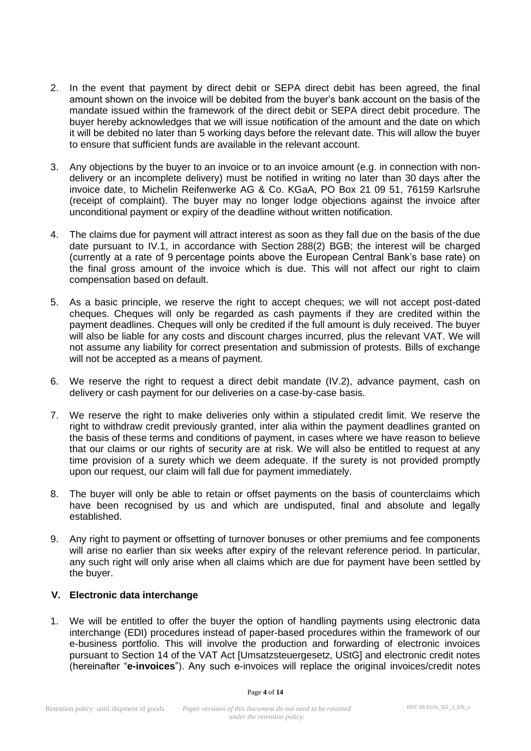- 2. In the event that payment by direct debit or SEPA direct debit has been agreed, the final amount shown on the invoice will be debited from the buyer's bank account on the basis of the mandate issued within the framework of the direct debit or SEPA direct debit procedure. The buyer hereby acknowledges that we will issue notification of the amount and the date on which it will be debited no later than 5 working days before the relevant date. This will allow the buyer to ensure that sufficient funds are available in the relevant account.
- 3. Any objections by the buyer to an invoice or to an invoice amount (e.g. in connection with nondelivery or an incomplete delivery) must be notified in writing no later than 30 days after the invoice date, to Michelin Reifenwerke AG & Co. KGaA, PO Box 21 09 51, 76159 Karlsruhe (receipt of complaint). The buyer may no longer lodge objections against the invoice after unconditional payment or expiry of the deadline without written notification.
- 4. The claims due for payment will attract interest as soon as they fall due on the basis of the due date pursuant to IV.1, in accordance with Section 288(2) BGB; the interest will be charged (currently at a rate of 9 percentage points above the European Central Bank's base rate) on the final gross amount of the invoice which is due. This will not affect our right to claim compensation based on default.
- 5. As a basic principle, we reserve the right to accept cheques; we will not accept post-dated cheques. Cheques will only be regarded as cash payments if they are credited within the payment deadlines. Cheques will only be credited if the full amount is duly received. The buyer will also be liable for any costs and discount charges incurred, plus the relevant VAT. We will not assume any liability for correct presentation and submission of protests. Bills of exchange will not be accepted as a means of payment.
- 6. We reserve the right to request a direct debit mandate (IV.2), advance payment, cash on delivery or cash payment for our deliveries on a case-by-case basis.
- 7. We reserve the right to make deliveries only within a stipulated credit limit. We reserve the right to withdraw credit previously granted, inter alia within the payment deadlines granted on the basis of these terms and conditions of payment, in cases where we have reason to believe that our claims or our rights of security are at risk. We will also be entitled to request at any time provision of a surety which we deem adequate. If the surety is not provided promptly upon our request, our claim will fall due for payment immediately.
- 8. The buyer will only be able to retain or offset payments on the basis of counterclaims which have been recognised by us and which are undisputed, final and absolute and legally established.
- 9. Any right to payment or offsetting of turnover bonuses or other premiums and fee components will arise no earlier than six weeks after expiry of the relevant reference period. In particular, any such right will only arise when all claims which are due for payment have been settled by the buyer.

## **V. Electronic data interchange**

1. We will be entitled to offer the buyer the option of handling payments using electronic data interchange (EDI) procedures instead of paper-based procedures within the framework of our e-business portfolio. This will involve the production and forwarding of electronic invoices pursuant to Section 14 of the VAT Act [Umsatzsteuergesetz, UStG] and electronic credit notes (hereinafter "**e-invoices**"). Any such e-invoices will replace the original invoices/credit notes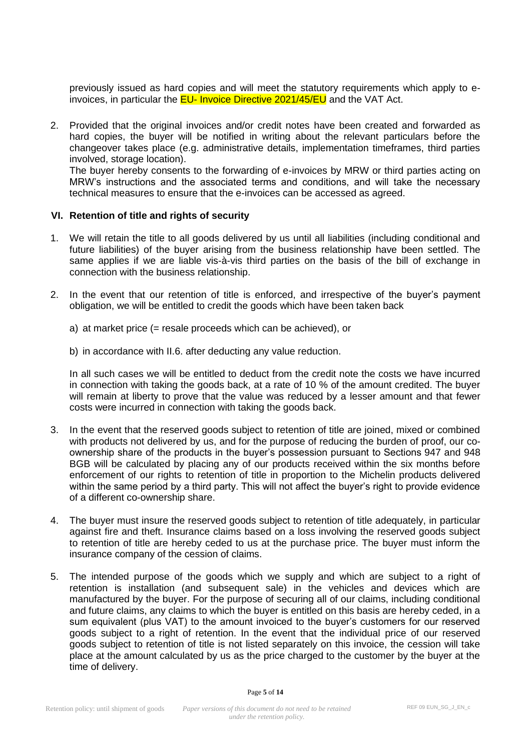previously issued as hard copies and will meet the statutory requirements which apply to einvoices, in particular the EU- Invoice Directive 2021/45/EU and the VAT Act.

2. Provided that the original invoices and/or credit notes have been created and forwarded as hard copies, the buyer will be notified in writing about the relevant particulars before the changeover takes place (e.g. administrative details, implementation timeframes, third parties involved, storage location).

The buyer hereby consents to the forwarding of e-invoices by MRW or third parties acting on MRW's instructions and the associated terms and conditions, and will take the necessary technical measures to ensure that the e-invoices can be accessed as agreed.

#### **VI. Retention of title and rights of security**

- 1. We will retain the title to all goods delivered by us until all liabilities (including conditional and future liabilities) of the buyer arising from the business relationship have been settled. The same applies if we are liable vis-à-vis third parties on the basis of the bill of exchange in connection with the business relationship.
- 2. In the event that our retention of title is enforced, and irrespective of the buyer's payment obligation, we will be entitled to credit the goods which have been taken back
	- a) at market price (= resale proceeds which can be achieved), or
	- b) in accordance with II.6. after deducting any value reduction.

In all such cases we will be entitled to deduct from the credit note the costs we have incurred in connection with taking the goods back, at a rate of 10 % of the amount credited. The buyer will remain at liberty to prove that the value was reduced by a lesser amount and that fewer costs were incurred in connection with taking the goods back.

- 3. In the event that the reserved goods subject to retention of title are joined, mixed or combined with products not delivered by us, and for the purpose of reducing the burden of proof, our coownership share of the products in the buyer's possession pursuant to Sections 947 and 948 BGB will be calculated by placing any of our products received within the six months before enforcement of our rights to retention of title in proportion to the Michelin products delivered within the same period by a third party. This will not affect the buyer's right to provide evidence of a different co-ownership share.
- 4. The buyer must insure the reserved goods subject to retention of title adequately, in particular against fire and theft. Insurance claims based on a loss involving the reserved goods subject to retention of title are hereby ceded to us at the purchase price. The buyer must inform the insurance company of the cession of claims.
- 5. The intended purpose of the goods which we supply and which are subject to a right of retention is installation (and subsequent sale) in the vehicles and devices which are manufactured by the buyer. For the purpose of securing all of our claims, including conditional and future claims, any claims to which the buyer is entitled on this basis are hereby ceded, in a sum equivalent (plus VAT) to the amount invoiced to the buyer's customers for our reserved goods subject to a right of retention. In the event that the individual price of our reserved goods subject to retention of title is not listed separately on this invoice, the cession will take place at the amount calculated by us as the price charged to the customer by the buyer at the time of delivery.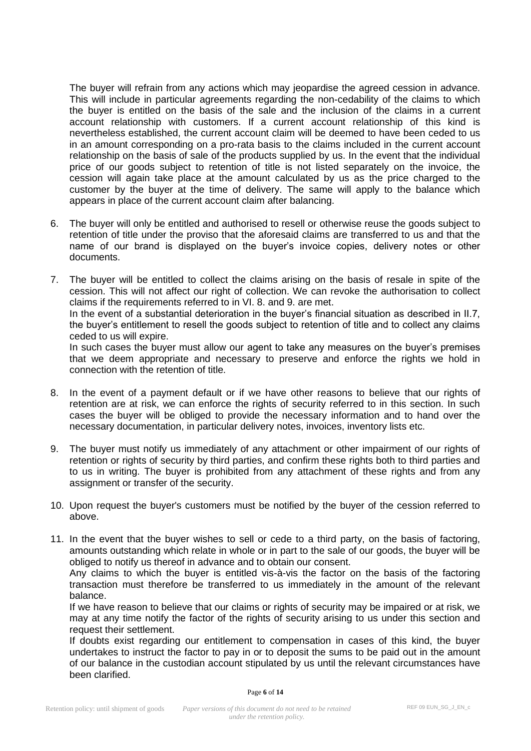The buyer will refrain from any actions which may jeopardise the agreed cession in advance. This will include in particular agreements regarding the non-cedability of the claims to which the buyer is entitled on the basis of the sale and the inclusion of the claims in a current account relationship with customers. If a current account relationship of this kind is nevertheless established, the current account claim will be deemed to have been ceded to us in an amount corresponding on a pro-rata basis to the claims included in the current account relationship on the basis of sale of the products supplied by us. In the event that the individual price of our goods subject to retention of title is not listed separately on the invoice, the cession will again take place at the amount calculated by us as the price charged to the customer by the buyer at the time of delivery. The same will apply to the balance which appears in place of the current account claim after balancing.

- 6. The buyer will only be entitled and authorised to resell or otherwise reuse the goods subject to retention of title under the proviso that the aforesaid claims are transferred to us and that the name of our brand is displayed on the buyer's invoice copies, delivery notes or other documents.
- 7. The buyer will be entitled to collect the claims arising on the basis of resale in spite of the cession. This will not affect our right of collection. We can revoke the authorisation to collect claims if the requirements referred to in VI. 8. and 9. are met. In the event of a substantial deterioration in the buyer's financial situation as described in II.7, the buyer's entitlement to resell the goods subject to retention of title and to collect any claims ceded to us will expire. In such cases the buyer must allow our agent to take any measures on the buyer's premises that we deem appropriate and necessary to preserve and enforce the rights we hold in connection with the retention of title.
- 8. In the event of a payment default or if we have other reasons to believe that our rights of retention are at risk, we can enforce the rights of security referred to in this section. In such cases the buyer will be obliged to provide the necessary information and to hand over the necessary documentation, in particular delivery notes, invoices, inventory lists etc.
- 9. The buyer must notify us immediately of any attachment or other impairment of our rights of retention or rights of security by third parties, and confirm these rights both to third parties and to us in writing. The buyer is prohibited from any attachment of these rights and from any assignment or transfer of the security.
- 10. Upon request the buyer's customers must be notified by the buyer of the cession referred to above.
- 11. In the event that the buyer wishes to sell or cede to a third party, on the basis of factoring, amounts outstanding which relate in whole or in part to the sale of our goods, the buyer will be obliged to notify us thereof in advance and to obtain our consent.

Any claims to which the buyer is entitled vis-à-vis the factor on the basis of the factoring transaction must therefore be transferred to us immediately in the amount of the relevant balance.

If we have reason to believe that our claims or rights of security may be impaired or at risk, we may at any time notify the factor of the rights of security arising to us under this section and request their settlement.

If doubts exist regarding our entitlement to compensation in cases of this kind, the buyer undertakes to instruct the factor to pay in or to deposit the sums to be paid out in the amount of our balance in the custodian account stipulated by us until the relevant circumstances have been clarified.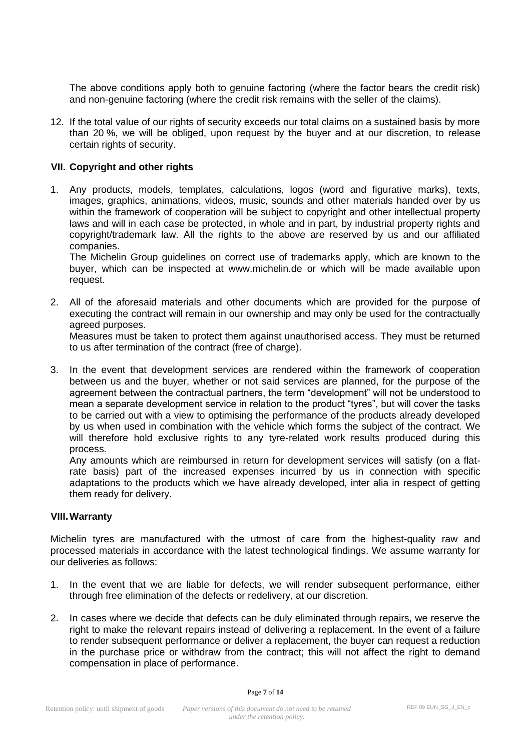The above conditions apply both to genuine factoring (where the factor bears the credit risk) and non-genuine factoring (where the credit risk remains with the seller of the claims).

12. If the total value of our rights of security exceeds our total claims on a sustained basis by more than 20 %, we will be obliged, upon request by the buyer and at our discretion, to release certain rights of security.

## **VII. Copyright and other rights**

1. Any products, models, templates, calculations, logos (word and figurative marks), texts, images, graphics, animations, videos, music, sounds and other materials handed over by us within the framework of cooperation will be subject to copyright and other intellectual property laws and will in each case be protected, in whole and in part, by industrial property rights and copyright/trademark law. All the rights to the above are reserved by us and our affiliated companies.

The Michelin Group guidelines on correct use of trademarks apply, which are known to the buyer, which can be inspected at www.michelin.de or which will be made available upon request.

2. All of the aforesaid materials and other documents which are provided for the purpose of executing the contract will remain in our ownership and may only be used for the contractually agreed purposes.

Measures must be taken to protect them against unauthorised access. They must be returned to us after termination of the contract (free of charge).

3. In the event that development services are rendered within the framework of cooperation between us and the buyer, whether or not said services are planned, for the purpose of the agreement between the contractual partners, the term "development" will not be understood to mean a separate development service in relation to the product "tyres", but will cover the tasks to be carried out with a view to optimising the performance of the products already developed by us when used in combination with the vehicle which forms the subject of the contract. We will therefore hold exclusive rights to any tyre-related work results produced during this process.

Any amounts which are reimbursed in return for development services will satisfy (on a flatrate basis) part of the increased expenses incurred by us in connection with specific adaptations to the products which we have already developed, inter alia in respect of getting them ready for delivery.

#### **VIII.Warranty**

Michelin tyres are manufactured with the utmost of care from the highest-quality raw and processed materials in accordance with the latest technological findings. We assume warranty for our deliveries as follows:

- 1. In the event that we are liable for defects, we will render subsequent performance, either through free elimination of the defects or redelivery, at our discretion.
- 2. In cases where we decide that defects can be duly eliminated through repairs, we reserve the right to make the relevant repairs instead of delivering a replacement. In the event of a failure to render subsequent performance or deliver a replacement, the buyer can request a reduction in the purchase price or withdraw from the contract; this will not affect the right to demand compensation in place of performance.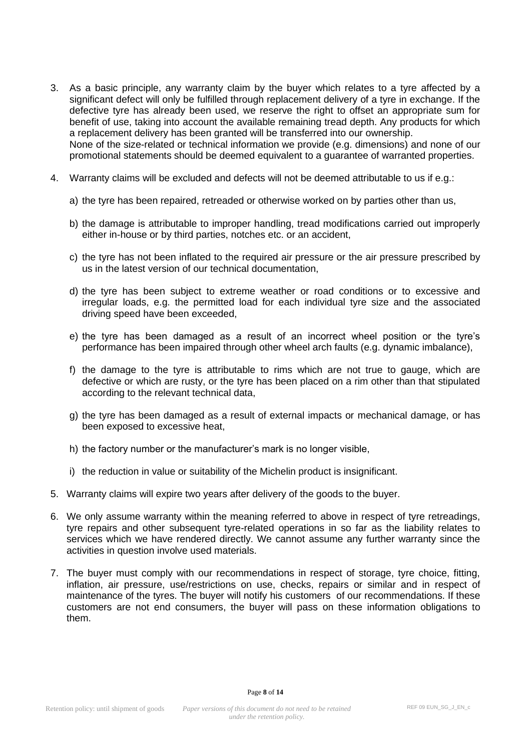- 3. As a basic principle, any warranty claim by the buyer which relates to a tyre affected by a significant defect will only be fulfilled through replacement delivery of a tyre in exchange. If the defective tyre has already been used, we reserve the right to offset an appropriate sum for benefit of use, taking into account the available remaining tread depth. Any products for which a replacement delivery has been granted will be transferred into our ownership. None of the size-related or technical information we provide (e.g. dimensions) and none of our promotional statements should be deemed equivalent to a guarantee of warranted properties.
- 4. Warranty claims will be excluded and defects will not be deemed attributable to us if e.g.:
	- a) the tyre has been repaired, retreaded or otherwise worked on by parties other than us,
	- b) the damage is attributable to improper handling, tread modifications carried out improperly either in-house or by third parties, notches etc. or an accident,
	- c) the tyre has not been inflated to the required air pressure or the air pressure prescribed by us in the latest version of our technical documentation,
	- d) the tyre has been subject to extreme weather or road conditions or to excessive and irregular loads, e.g. the permitted load for each individual tyre size and the associated driving speed have been exceeded,
	- e) the tyre has been damaged as a result of an incorrect wheel position or the tyre's performance has been impaired through other wheel arch faults (e.g. dynamic imbalance),
	- f) the damage to the tyre is attributable to rims which are not true to gauge, which are defective or which are rusty, or the tyre has been placed on a rim other than that stipulated according to the relevant technical data,
	- g) the tyre has been damaged as a result of external impacts or mechanical damage, or has been exposed to excessive heat,
	- h) the factory number or the manufacturer's mark is no longer visible,
	- i) the reduction in value or suitability of the Michelin product is insignificant.
- 5. Warranty claims will expire two years after delivery of the goods to the buyer.
- 6. We only assume warranty within the meaning referred to above in respect of tyre retreadings, tyre repairs and other subsequent tyre-related operations in so far as the liability relates to services which we have rendered directly. We cannot assume any further warranty since the activities in question involve used materials.
- 7. The buyer must comply with our recommendations in respect of storage, tyre choice, fitting, inflation, air pressure, use/restrictions on use, checks, repairs or similar and in respect of maintenance of the tyres. The buyer will notify his customers of our recommendations. If these customers are not end consumers, the buyer will pass on these information obligations to them.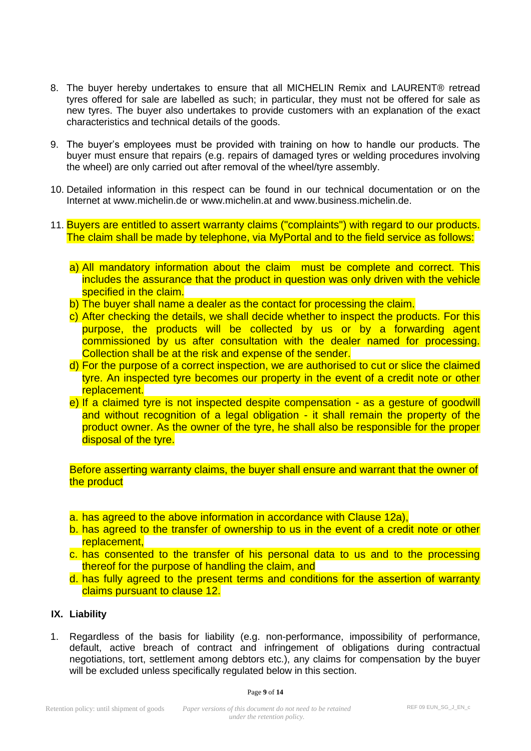- 8. The buyer hereby undertakes to ensure that all MICHELIN Remix and LAURENT® retread tyres offered for sale are labelled as such; in particular, they must not be offered for sale as new tyres. The buyer also undertakes to provide customers with an explanation of the exact characteristics and technical details of the goods.
- 9. The buyer's employees must be provided with training on how to handle our products. The buyer must ensure that repairs (e.g. repairs of damaged tyres or welding procedures involving the wheel) are only carried out after removal of the wheel/tyre assembly.
- 10. Detailed information in this respect can be found in our technical documentation or on the Internet at www.michelin.de or www.michelin.at and www.business.michelin.de.
- 11. Buyers are entitled to assert warranty claims ("complaints") with regard to our products. The claim shall be made by telephone, via MyPortal and to the field service as follows:
	- a) All mandatory information about the claim must be complete and correct. This includes the assurance that the product in question was only driven with the vehicle specified in the claim.
	- b) The buyer shall name a dealer as the contact for processing the claim.
	- c) After checking the details, we shall decide whether to inspect the products. For this purpose, the products will be collected by us or by a forwarding agent commissioned by us after consultation with the dealer named for processing. Collection shall be at the risk and expense of the sender.
	- d) For the purpose of a correct inspection, we are authorised to cut or slice the claimed tyre. An inspected tyre becomes our property in the event of a credit note or other replacement.
	- e) If a claimed tyre is not inspected despite compensation as a gesture of goodwill and without recognition of a legal obligation - it shall remain the property of the product owner. As the owner of the tyre, he shall also be responsible for the proper disposal of the tyre.

Before asserting warranty claims, the buyer shall ensure and warrant that the owner of the product

- a. has agreed to the above information in accordance with Clause 12a),
- b. has agreed to the transfer of ownership to us in the event of a credit note or other replacement,
- c. has consented to the transfer of his personal data to us and to the processing thereof for the purpose of handling the claim, and
- d. has fully agreed to the present terms and conditions for the assertion of warranty claims pursuant to clause 12.

## **IX. Liability**

1. Regardless of the basis for liability (e.g. non-performance, impossibility of performance, default, active breach of contract and infringement of obligations during contractual negotiations, tort, settlement among debtors etc.), any claims for compensation by the buyer will be excluded unless specifically regulated below in this section.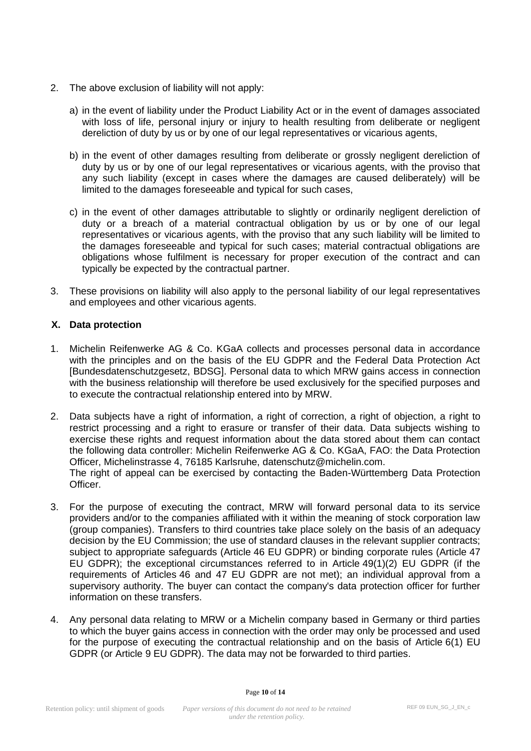- 2. The above exclusion of liability will not apply:
	- a) in the event of liability under the Product Liability Act or in the event of damages associated with loss of life, personal injury or injury to health resulting from deliberate or negligent dereliction of duty by us or by one of our legal representatives or vicarious agents,
	- b) in the event of other damages resulting from deliberate or grossly negligent dereliction of duty by us or by one of our legal representatives or vicarious agents, with the proviso that any such liability (except in cases where the damages are caused deliberately) will be limited to the damages foreseeable and typical for such cases,
	- c) in the event of other damages attributable to slightly or ordinarily negligent dereliction of duty or a breach of a material contractual obligation by us or by one of our legal representatives or vicarious agents, with the proviso that any such liability will be limited to the damages foreseeable and typical for such cases; material contractual obligations are obligations whose fulfilment is necessary for proper execution of the contract and can typically be expected by the contractual partner.
- 3. These provisions on liability will also apply to the personal liability of our legal representatives and employees and other vicarious agents.

## **X. Data protection**

- 1. Michelin Reifenwerke AG & Co. KGaA collects and processes personal data in accordance with the principles and on the basis of the EU GDPR and the Federal Data Protection Act [Bundesdatenschutzgesetz, BDSG]. Personal data to which MRW gains access in connection with the business relationship will therefore be used exclusively for the specified purposes and to execute the contractual relationship entered into by MRW.
- 2. Data subjects have a right of information, a right of correction, a right of objection, a right to restrict processing and a right to erasure or transfer of their data. Data subjects wishing to exercise these rights and request information about the data stored about them can contact the following data controller: Michelin Reifenwerke AG & Co. KGaA, FAO: the Data Protection Officer, Michelinstrasse 4, 76185 Karlsruhe, [datenschutz@michelin.com.](mailto:datenschutz@michelin.com) The right of appeal can be exercised by contacting the Baden-Württemberg Data Protection Officer.
- 3. For the purpose of executing the contract, MRW will forward personal data to its service providers and/or to the companies affiliated with it within the meaning of stock corporation law (group companies). Transfers to third countries take place solely on the basis of an adequacy decision by the EU Commission; the use of standard clauses in the relevant supplier contracts; subject to appropriate safeguards (Article 46 EU GDPR) or binding corporate rules (Article 47 EU GDPR); the exceptional circumstances referred to in Article 49(1)(2) EU GDPR (if the requirements of Articles 46 and 47 EU GDPR are not met); an individual approval from a supervisory authority. The buyer can contact the company's data protection officer for further information on these transfers.
- 4. Any personal data relating to MRW or a Michelin company based in Germany or third parties to which the buyer gains access in connection with the order may only be processed and used for the purpose of executing the contractual relationship and on the basis of Article 6(1) EU GDPR (or Article 9 EU GDPR). The data may not be forwarded to third parties.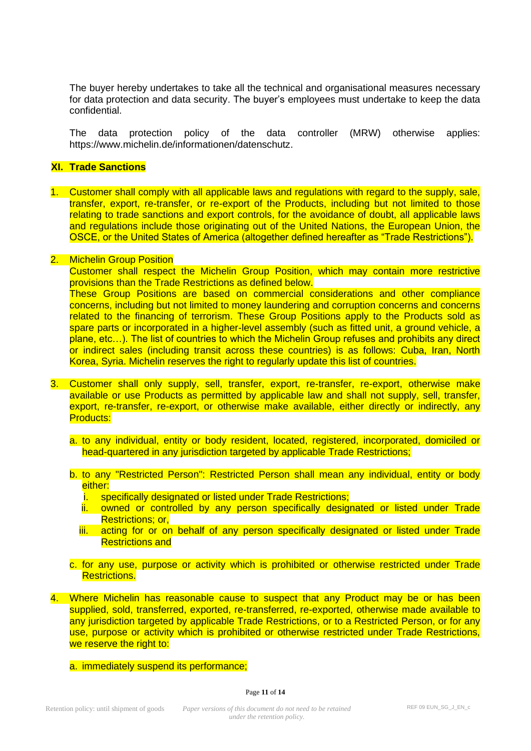The buyer hereby undertakes to take all the technical and organisational measures necessary for data protection and data security. The buyer's employees must undertake to keep the data confidential.

The data protection policy of the data controller (MRW) otherwise applies: [https://www.michelin.de/informationen/datenschutz.](https://www.michelin.de/informationen/datenschutz)

#### **XI. Trade Sanctions**

1. Customer shall comply with all applicable laws and regulations with regard to the supply, sale, transfer, export, re-transfer, or re-export of the Products, including but not limited to those relating to trade sanctions and export controls, for the avoidance of doubt, all applicable laws and regulations include those originating out of the United Nations, the European Union, the OSCE, or the United States of America (altogether defined hereafter as "Trade Restrictions").

#### 2. Michelin Group Position

Customer shall respect the Michelin Group Position, which may contain more restrictive provisions than the Trade Restrictions as defined below.

These Group Positions are based on commercial considerations and other compliance concerns, including but not limited to money laundering and corruption concerns and concerns related to the financing of terrorism. These Group Positions apply to the Products sold as spare parts or incorporated in a higher-level assembly (such as fitted unit, a ground vehicle, a plane, etc…). The list of countries to which the Michelin Group refuses and prohibits any direct or indirect sales (including transit across these countries) is as follows: Cuba, Iran, North Korea, Syria. Michelin reserves the right to regularly update this list of countries.

- 3. Customer shall only supply, sell, transfer, export, re-transfer, re-export, otherwise make available or use Products as permitted by applicable law and shall not supply, sell, transfer, export, re-transfer, re-export, or otherwise make available, either directly or indirectly, any Products:
	- a. to any individual, entity or body resident, located, registered, incorporated, domiciled or head-quartered in any jurisdiction targeted by applicable Trade Restrictions;
	- b. to any "Restricted Person": Restricted Person shall mean any individual, entity or body either:
		- i. specifically designated or listed under Trade Restrictions;
		- ii. owned or controlled by any person specifically designated or listed under Trade Restrictions; or,
		- iii. acting for or on behalf of any person specifically designated or listed under Trade Restrictions and
	- c. for any use, purpose or activity which is prohibited or otherwise restricted under Trade Restrictions.
- 4. Where Michelin has reasonable cause to suspect that any Product may be or has been supplied, sold, transferred, exported, re-transferred, re-exported, otherwise made available to any jurisdiction targeted by applicable Trade Restrictions, or to a Restricted Person, or for any use, purpose or activity which is prohibited or otherwise restricted under Trade Restrictions. we reserve the right to:

a. immediately suspend its performance;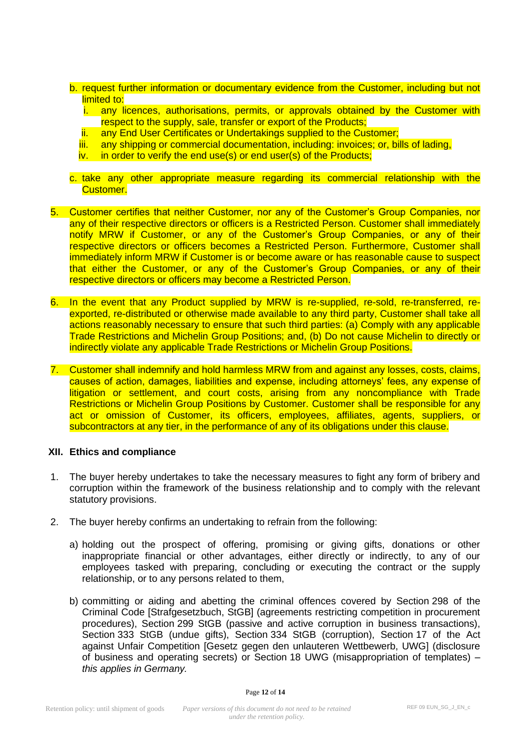- b. request further information or documentary evidence from the Customer, including but not limited to:
	- i. any licences, authorisations, permits, or approvals obtained by the Customer with respect to the supply, sale, transfer or export of the Products;
	- ii. any End User Certificates or Undertakings supplied to the Customer;
	- iii. any shipping or commercial documentation, including: invoices; or, bills of lading,
	- iv. in order to verify the end use(s) or end user(s) of the Products;
- c. take any other appropriate measure regarding its commercial relationship with the Customer.
- 5. Customer certifies that neither Customer, nor any of the Customer's Group Companies, nor any of their respective directors or officers is a Restricted Person. Customer shall immediately notify MRW if Customer, or any of the Customer's Group Companies, or any of their respective directors or officers becomes a Restricted Person. Furthermore, Customer shall immediately inform MRW if Customer is or become aware or has reasonable cause to suspect that either the Customer, or any of the Customer's Group Companies, or any of their respective directors or officers may become a Restricted Person.
- 6. In the event that any Product supplied by MRW is re-supplied, re-sold, re-transferred, reexported, re-distributed or otherwise made available to any third party, Customer shall take all actions reasonably necessary to ensure that such third parties: (a) Comply with any applicable Trade Restrictions and Michelin Group Positions; and, (b) Do not cause Michelin to directly or indirectly violate any applicable Trade Restrictions or Michelin Group Positions.
- 7. Customer shall indemnify and hold harmless MRW from and against any losses, costs, claims, causes of action, damages, liabilities and expense, including attorneys' fees, any expense of litigation or settlement, and court costs, arising from any noncompliance with Trade Restrictions or Michelin Group Positions by Customer. Customer shall be responsible for any act or omission of Customer, its officers, employees, affiliates, agents, suppliers, or subcontractors at any tier, in the performance of any of its obligations under this clause.

#### **XII. Ethics and compliance**

- 1. The buyer hereby undertakes to take the necessary measures to fight any form of bribery and corruption within the framework of the business relationship and to comply with the relevant statutory provisions.
- 2. The buyer hereby confirms an undertaking to refrain from the following:
	- a) holding out the prospect of offering, promising or giving gifts, donations or other inappropriate financial or other advantages, either directly or indirectly, to any of our employees tasked with preparing, concluding or executing the contract or the supply relationship, or to any persons related to them,
	- b) committing or aiding and abetting the criminal offences covered by Section 298 of the Criminal Code [Strafgesetzbuch, StGB] (agreements restricting competition in procurement procedures), Section 299 StGB (passive and active corruption in business transactions), Section 333 StGB (undue gifts), Section 334 StGB (corruption), Section 17 of the Act against Unfair Competition [Gesetz gegen den unlauteren Wettbewerb, UWG] (disclosure of business and operating secrets) or Section 18 UWG (misappropriation of templates) – *this applies in Germany.*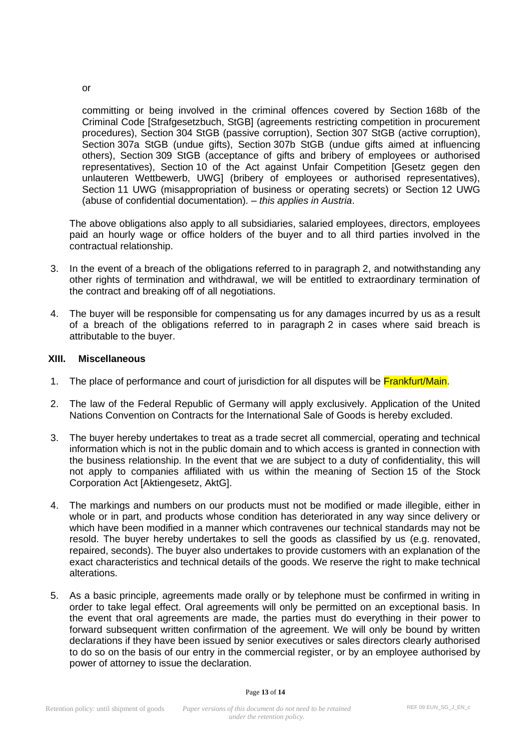committing or being involved in the criminal offences covered by Section 168b of the Criminal Code [Strafgesetzbuch, StGB] (agreements restricting competition in procurement procedures), Section 304 StGB (passive corruption), Section 307 StGB (active corruption), Section 307a StGB (undue gifts), Section 307b StGB (undue gifts aimed at influencing others), Section 309 StGB (acceptance of gifts and bribery of employees or authorised representatives), Section 10 of the Act against Unfair Competition [Gesetz gegen den unlauteren Wettbewerb, UWG] (bribery of employees or authorised representatives), Section 11 UWG (misappropriation of business or operating secrets) or Section 12 UWG (abuse of confidential documentation). – *this applies in Austria*.

The above obligations also apply to all subsidiaries, salaried employees, directors, employees paid an hourly wage or office holders of the buyer and to all third parties involved in the contractual relationship.

- 3. In the event of a breach of the obligations referred to in paragraph 2, and notwithstanding any other rights of termination and withdrawal, we will be entitled to extraordinary termination of the contract and breaking off of all negotiations.
- 4. The buyer will be responsible for compensating us for any damages incurred by us as a result of a breach of the obligations referred to in paragraph 2 in cases where said breach is attributable to the buyer.

#### **XIII. Miscellaneous**

- 1. The place of performance and court of jurisdiction for all disputes will be **Frankfurt/Main.**
- 2. The law of the Federal Republic of Germany will apply exclusively. Application of the United Nations Convention on Contracts for the International Sale of Goods is hereby excluded.
- 3. The buyer hereby undertakes to treat as a trade secret all commercial, operating and technical information which is not in the public domain and to which access is granted in connection with the business relationship. In the event that we are subject to a duty of confidentiality, this will not apply to companies affiliated with us within the meaning of Section 15 of the Stock Corporation Act [Aktiengesetz, AktG].
- 4. The markings and numbers on our products must not be modified or made illegible, either in whole or in part, and products whose condition has deteriorated in any way since delivery or which have been modified in a manner which contravenes our technical standards may not be resold. The buyer hereby undertakes to sell the goods as classified by us (e.g. renovated, repaired, seconds). The buyer also undertakes to provide customers with an explanation of the exact characteristics and technical details of the goods. We reserve the right to make technical alterations.
- 5. As a basic principle, agreements made orally or by telephone must be confirmed in writing in order to take legal effect. Oral agreements will only be permitted on an exceptional basis. In the event that oral agreements are made, the parties must do everything in their power to forward subsequent written confirmation of the agreement. We will only be bound by written declarations if they have been issued by senior executives or sales directors clearly authorised to do so on the basis of our entry in the commercial register, or by an employee authorised by power of attorney to issue the declaration.

or